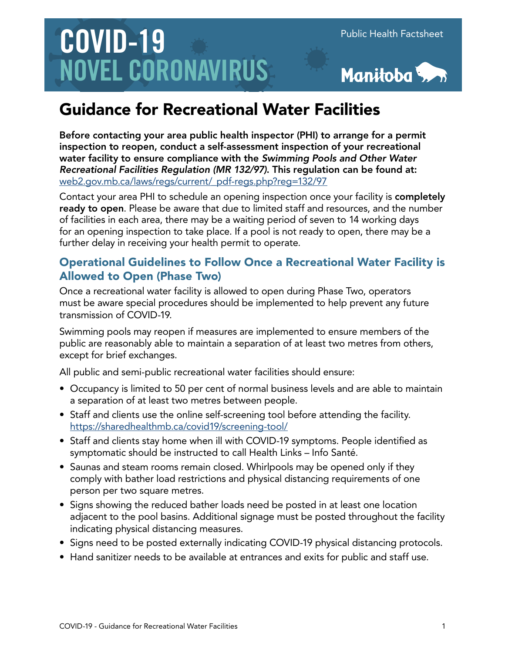# COVID-19 NOVEL CORONAVIRUS





## Guidance for Recreational Water Facilities

Before contacting your area public health inspector (PHI) to arrange for a permit inspection to reopen, conduct a self-assessment inspection of your recreational water facility to ensure compliance with the *Swimming Pools and Other Water Recreational Facilities Regulation (MR 132/97)*. This regulation can be found at: [web2.gov.mb.ca/laws/regs/current/\\_pdf-regs.php?reg=132/97](http://web2.gov.mb.ca/laws/regs/current/_pdf-regs.php?reg=132/97)

Contact your area PHI to schedule an opening inspection once your facility is completely ready to open. Please be aware that due to limited staff and resources, and the number of facilities in each area, there may be a waiting period of seven to 14 working days for an opening inspection to take place. If a pool is not ready to open, there may be a further delay in receiving your health permit to operate.

## Operational Guidelines to Follow Once a Recreational Water Facility is Allowed to Open (Phase Two)

Once a recreational water facility is allowed to open during Phase Two, operators must be aware special procedures should be implemented to help prevent any future transmission of COVID-19.

Swimming pools may reopen if measures are implemented to ensure members of the public are reasonably able to maintain a separation of at least two metres from others, except for brief exchanges.

All public and semi-public recreational water facilities should ensure:

- Occupancy is limited to 50 per cent of normal business levels and are able to maintain a separation of at least two metres between people.
- Staff and clients use the online self-screening tool before attending the facility. <https://sharedhealthmb.ca/covid19/screening-tool/>
- Staff and clients stay home when ill with COVID-19 symptoms. People identified as symptomatic should be instructed to call Health Links – Info Santé.
- Saunas and steam rooms remain closed. Whirlpools may be opened only if they comply with bather load restrictions and physical distancing requirements of one person per two square metres.
- Signs showing the reduced bather loads need be posted in at least one location adjacent to the pool basins. Additional signage must be posted throughout the facility indicating physical distancing measures.
- Signs need to be posted externally indicating COVID-19 physical distancing protocols.
- Hand sanitizer needs to be available at entrances and exits for public and staff use.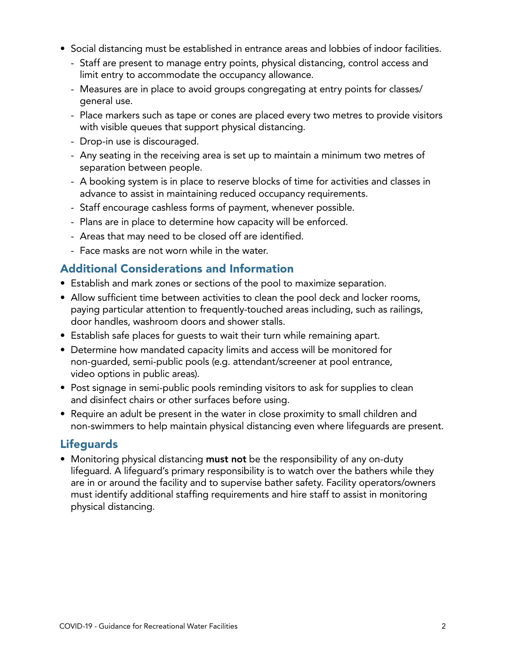- Social distancing must be established in entrance areas and lobbies of indoor facilities.
	- Staff are present to manage entry points, physical distancing, control access and limit entry to accommodate the occupancy allowance.
	- Measures are in place to avoid groups congregating at entry points for classes/ general use.
	- Place markers such as tape or cones are placed every two metres to provide visitors with visible queues that support physical distancing.
	- Drop-in use is discouraged.
	- Any seating in the receiving area is set up to maintain a minimum two metres of separation between people.
	- A booking system is in place to reserve blocks of time for activities and classes in advance to assist in maintaining reduced occupancy requirements.
	- Staff encourage cashless forms of payment, whenever possible.
	- Plans are in place to determine how capacity will be enforced.
	- Areas that may need to be closed off are identified.
	- Face masks are not worn while in the water.

### Additional Considerations and Information

- Establish and mark zones or sections of the pool to maximize separation.
- Allow sufficient time between activities to clean the pool deck and locker rooms, paying particular attention to frequently-touched areas including, such as railings, door handles, washroom doors and shower stalls.
- Establish safe places for guests to wait their turn while remaining apart.
- Determine how mandated capacity limits and access will be monitored for non-guarded, semi-public pools (e.g. attendant/screener at pool entrance, video options in public areas).
- Post signage in semi-public pools reminding visitors to ask for supplies to clean and disinfect chairs or other surfaces before using.
- Require an adult be present in the water in close proximity to small children and non-swimmers to help maintain physical distancing even where lifeguards are present.

### **Lifeguards**

• Monitoring physical distancing **must not** be the responsibility of any on-duty lifeguard. A lifeguard's primary responsibility is to watch over the bathers while they are in or around the facility and to supervise bather safety. Facility operators/owners must identify additional staffing requirements and hire staff to assist in monitoring physical distancing.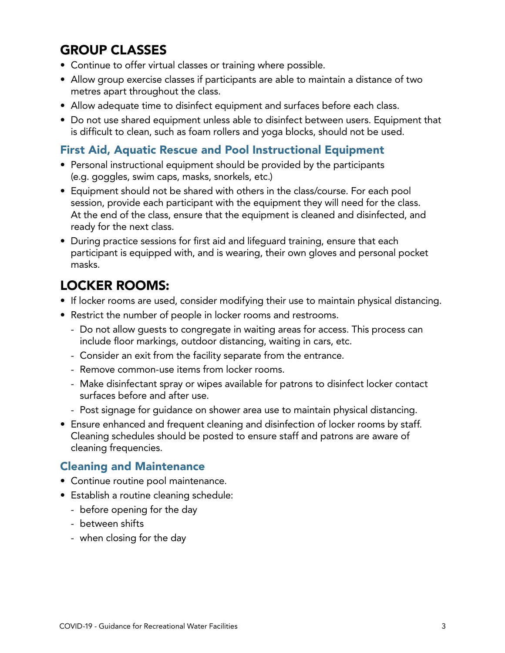## GROUP CLASSES

- Continue to offer virtual classes or training where possible.
- Allow group exercise classes if participants are able to maintain a distance of two metres apart throughout the class.
- Allow adequate time to disinfect equipment and surfaces before each class.
- Do not use shared equipment unless able to disinfect between users. Equipment that is difficult to clean, such as foam rollers and yoga blocks, should not be used.

## First Aid, Aquatic Rescue and Pool Instructional Equipment

- Personal instructional equipment should be provided by the participants (e.g. goggles, swim caps, masks, snorkels, etc.)
- Equipment should not be shared with others in the class/course. For each pool session, provide each participant with the equipment they will need for the class. At the end of the class, ensure that the equipment is cleaned and disinfected, and ready for the next class.
- During practice sessions for first aid and lifeguard training, ensure that each participant is equipped with, and is wearing, their own gloves and personal pocket masks.

## LOCKER ROOMS:

- If locker rooms are used, consider modifying their use to maintain physical distancing.
- Restrict the number of people in locker rooms and restrooms.
	- Do not allow guests to congregate in waiting areas for access. This process can include floor markings, outdoor distancing, waiting in cars, etc.
	- Consider an exit from the facility separate from the entrance.
	- Remove common-use items from locker rooms.
	- Make disinfectant spray or wipes available for patrons to disinfect locker contact surfaces before and after use.
	- Post signage for guidance on shower area use to maintain physical distancing.
- Ensure enhanced and frequent cleaning and disinfection of locker rooms by staff. Cleaning schedules should be posted to ensure staff and patrons are aware of cleaning frequencies.

### Cleaning and Maintenance

- Continue routine pool maintenance.
- Establish a routine cleaning schedule:
	- before opening for the day
	- between shifts
	- when closing for the day